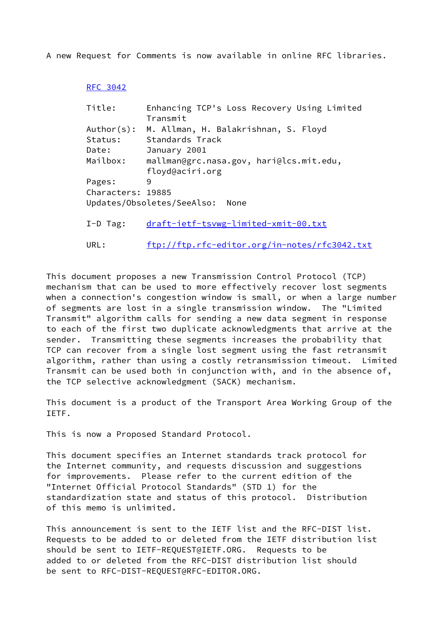A new Request for Comments is now available in online RFC libraries.

## [RFC 3042](https://datatracker.ietf.org/doc/pdf/rfc3042)

| Title:            | Enhancing TCP's Loss Recovery Using Limited   |
|-------------------|-----------------------------------------------|
|                   | Transmit                                      |
| Author(s):        | M. Allman, H. Balakrishnan, S. Floyd          |
| Status:           | Standards Track                               |
| Date:             | January 2001                                  |
| Mailbox:          | mallman@grc.nasa.gov, hari@lcs.mit.edu,       |
|                   | floyd@aciri.org                               |
| Pages:            | 9                                             |
| Characters: 19885 |                                               |
|                   | Updates/Obsoletes/SeeAlso:<br>None            |
| $I-D$ Tag:        | draft-ietf-tsvwg-limited-xmit-00.txt          |
| URL:              | ftp://ftp.rfc-editor.org/in-notes/rfc3042.txt |

This document proposes a new Transmission Control Protocol (TCP) mechanism that can be used to more effectively recover lost segments when a connection's congestion window is small, or when a large number of segments are lost in a single transmission window. The "Limited Transmit" algorithm calls for sending a new data segment in response to each of the first two duplicate acknowledgments that arrive at the sender. Transmitting these segments increases the probability that TCP can recover from a single lost segment using the fast retransmit algorithm, rather than using a costly retransmission timeout. Limited Transmit can be used both in conjunction with, and in the absence of, the TCP selective acknowledgment (SACK) mechanism.

This document is a product of the Transport Area Working Group of the IETF.

This is now a Proposed Standard Protocol.

This document specifies an Internet standards track protocol for the Internet community, and requests discussion and suggestions for improvements. Please refer to the current edition of the "Internet Official Protocol Standards" (STD 1) for the standardization state and status of this protocol. Distribution of this memo is unlimited.

This announcement is sent to the IETF list and the RFC-DIST list. Requests to be added to or deleted from the IETF distribution list should be sent to IETF-REQUEST@IETF.ORG. Requests to be added to or deleted from the RFC-DIST distribution list should be sent to RFC-DIST-REQUEST@RFC-EDITOR.ORG.